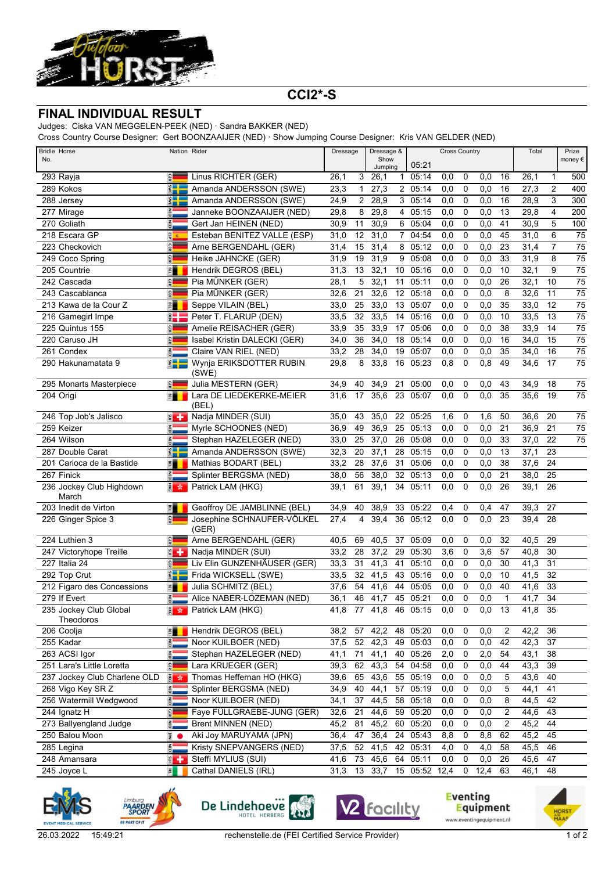

## **CCI2\*-S**

## **FINAL INDIVIDUAL RESULT**

Judges: Ciska VAN MEGGELEN-PEEK (NED) · Sandra BAKKER (NED)

Cross Country Course Designer: Gert BOONZAAIJER (NED) · Show Jumping Course Designer: Kris VAN GELDER (NED)

| <b>Bridle Horse</b>                         |                                           | Nation Rider                         | Dressage |                | <b>Cross Country</b><br>Dressage & |                |                  |            |                |            | Total          |              | Prize           |                       |
|---------------------------------------------|-------------------------------------------|--------------------------------------|----------|----------------|------------------------------------|----------------|------------------|------------|----------------|------------|----------------|--------------|-----------------|-----------------------|
| No.                                         |                                           |                                      |          |                | Show<br>Jumping                    |                | 05:21            |            |                |            |                |              |                 | money €               |
| 293 Rayja                                   | GER                                       | Linus RICHTER (GER)                  | 26,1     | 3              | 26,1                               | 1              | 05:14            | 0,0        | 0              | 0,0        | 16             | 26,1         | 1               | 500                   |
| 289 Kokos                                   | $rac{ms}{s}$                              | Amanda ANDERSSON (SWE)               | 23,3     | $\mathbf{1}$   | 27,3                               |                | 2 05:14          | 0,0        | $\mathbf 0$    | 0,0        | 16             | 27,3         | $\overline{2}$  | 400                   |
| 288 Jersey                                  | $\frac{1}{2}$                             | Amanda ANDERSSON (SWE)               | 24,9     | $\overline{2}$ | 28,9                               |                | 3 05:14          | 0,0        | 0              | 0,0        | 16             | 28,9         | 3               | 300                   |
| 277 Mirage                                  | <b>NED</b>                                | Janneke BOONZAAIJER (NED)            | 29,8     | 8              | 29,8                               | $\overline{4}$ | 05:15            | 0,0        | 0              | 0,0        | 13             | 29,8         | 4               | 200                   |
| 270 Goliath                                 | $\frac{2}{10}$                            | Gert Jan HEINEN (NED)                | 30,9     | 11             | 30,9                               |                | 6 05:04          | 0,0        | 0              | 0,0        | 41             | 30,9         | 5               | 100                   |
| 218 Escara GP                               | SP                                        | Esteban BENITEZ VALLE (ESP)          | 31,0     | 12             | 31,0                               | $\overline{7}$ | 04:54            | 0,0        | $\mathbf 0$    | 0,0        | 45             | 31,0         | 6               | $\overline{75}$       |
| 223 Checkovich                              | <b>GER</b>                                | Arne BERGENDAHL (GER)                | 31,4     | 15             | 31,4                               | 8              | 05:12            | 0,0        | 0              | 0,0        | 23             | 31,4         | $\overline{7}$  | $\overline{75}$       |
| 249 Coco Spring                             | <b>GER</b>                                | Heike JAHNCKE (GER)                  | 31,9     | 19             | 31,9                               | 9              | 05:08            | 0,0        | 0              | 0,0        | 33             | 31,9         | 8               | 75                    |
| 205 Countrie                                | E                                         | Hendrik DEGROS (BEL)                 | 31,3     | 13             | 32,1                               | 10             | 05:16            | 0,0        | $\mathbf 0$    | 0,0        | 10             | 32,1         | 9               | $\overline{75}$       |
| 242 Cascada                                 | <b>GER</b>                                | Pia MÜNKER (GER)                     | 28,1     | 5              | 32,1                               | 11             | 05:11            | 0,0        | $\mathbf 0$    | 0,0        | 26             | 32,1         | 10              | $\overline{75}$       |
| 243 Cascablanca                             | <b>GER</b>                                | Pia MÜNKER (GER)                     | 32,6     | 21             | 32,6                               | 12             | 05:18            | 0,0        | $\mathbf 0$    | 0,0        | 8              | 32,6         | 11              | 75                    |
| 213 Kawa de la Cour Z                       | F                                         | Seppe VILAIN (BEL)                   | 33,0     | 25             | 33,0                               | 13             | 05:07            | 0,0        | $\mathbf 0$    | 0,0        | 35             | 33,0         | 12              | $\overline{75}$       |
|                                             |                                           | Peter T. FLARUP (DEN)                | 33,5     | 32             | 33,5                               | 14             | 05:16            | 0,0        | 0              | 0,0        | 10             | 33,5         | $\overline{13}$ | $\overline{75}$       |
| 216 Gamegirl Impe<br><b>225 Quintus 155</b> | $\frac{9}{2}$                             | Amelie REISACHER (GER)               | 33,9     | 35             | 33,9                               | 17             | 05:06            | 0,0        | $\mathbf 0$    | 0,0        | 38             | 33,9         | 14              | $\overline{75}$       |
|                                             | GER                                       |                                      |          |                |                                    |                | 05:14            |            | 0              |            |                |              | 15              | 75                    |
| 220 Caruso JH<br>261 Condex                 | <b>GER</b>                                | Isabel Kristin DALECKI (GER)         | 34,0     | 36<br>28       | 34,0<br>34,0                       | 18<br>19       | 05:07            | 0,0<br>0,0 | $\mathbf 0$    | 0,0<br>0,0 | 16<br>35       | 34,0<br>34,0 | 16              |                       |
|                                             | <b>NED</b>                                | Claire VAN RIEL (NED)                | 33,2     |                |                                    |                |                  |            |                |            |                |              |                 | 75<br>$\overline{75}$ |
| 290 Hakunamatata 9                          | $\frac{1}{2}$                             | Wynja ERIKSDOTTER RUBIN<br>(SWE)     | 29,8     | 8              | 33,8                               | 16             | 05:23            | 0,8        | $\mathbf 0$    | 0,8        | 49             | 34,6         | 17              |                       |
| 295 Monarts Masterpiece                     | <b>GER</b>                                | Julia MESTERN (GER)                  | 34,9     | 40             | 34,9                               | 21             | 05:00            | 0,0        | 0              | 0,0        | 43             | 34,9         | 18              | 75                    |
| 204 Origi                                   | 門                                         | Lara DE LIEDEKERKE-MEIER<br>(BEL)    | 31,6     | 17             | 35,6                               | 23             | 05:07            | 0,0        | $\mathbf 0$    | 0,0        | 35             | 35,6         | 19              | 75                    |
| 246 Top Job's Jalisco                       | $\epsilon$                                | Nadja MINDER (SUI)                   | 35,0     | 43             | 35,0                               | 22             | 05:25            | 1,6        | 0              | 1,6        | 50             | 36,6         | 20              | 75                    |
| 259 Keizer                                  | $\frac{2}{9}$                             | Myrle SCHOONES (NED)                 | 36,9     | 49             | 36,9                               | 25             | 05:13            | 0,0        | 0              | 0,0        | 21             | 36,9         | 21              | 75                    |
| 264 Wilson                                  | $rac{z}{\overline{c}}$                    | Stephan HAZELEGER (NED)              | 33,0     | 25             | 37,0                               | 26             | 05:08            | 0,0        | $\mathbf 0$    | 0,0        | 33             | 37,0         | 22              | 75                    |
| 287 Double Carat                            |                                           | Amanda ANDERSSON (SWE)               | 32,3     | 20             | 37,1                               | 28             | 05:15            | 0,0        | 0              | 0,0        | 13             | 37,1         | 23              |                       |
| 201 Carioca de la Bastide                   | 門                                         | Mathias BODART (BEL)                 | 33,2     | 28             | 37,6                               | 31             | 05:06            | 0,0        | $\mathbf 0$    | 0,0        | 38             | 37,6         | 24              |                       |
| 267 Finick                                  | <b>AED</b>                                | Splinter BERGSMA (NED)               | 38,0     | 56             | 38,0                               | 32             | 05:13            | 0,0        | 0              | 0,0        | 21             | 38,0         | 25              |                       |
| 236 Jockey Club Highdown                    | $\frac{1}{20}$<br>大家                      | Patrick LAM (HKG)                    | 39,1     | 61             | 39,1                               | 34             | 05:11            | 0,0        | $\mathbf 0$    | 0.0        | 26             | 39,1         | 26              |                       |
| March                                       |                                           |                                      |          |                |                                    |                |                  |            |                |            |                |              |                 |                       |
| 203 Inedit de Virton                        | 門                                         | Geoffroy DE JAMBLINNE (BEL)          | 34,9     | 40             | 38,9                               | 33             | 05:22            | 0,4        | 0              | 0,4        | 47             | 39,3         | 27              |                       |
| 226 Ginger Spice 3                          |                                           | Josephine SCHNAUFER-VÖLKEL           | 27,4     | $\overline{4}$ | 39,4                               | 36             | 05:12            | 0,0        | $\mathbf 0$    | 0,0        | 23             | 39,4         | 28              |                       |
|                                             |                                           | (GER)                                |          |                |                                    |                |                  |            |                |            |                |              |                 |                       |
| 224 Luthien 3                               | <b>GER</b>                                | Arne BERGENDAHL (GER)                | 40,5     | 69             | 40,5                               | 37             | 05:09            | 0,0        | 0              | 0,0        | 32             | 40,5         | 29              |                       |
| 247 Victoryhope Treille                     | $\epsilon$                                | Nadja MINDER (SUI)                   | 33,2     | 28             | 37,2                               | 29             | 05:30            | 3,6        | 0              | 3,6        | 57             | 40,8         | 30              |                       |
| 227 Italia 24                               | <b>GER</b>                                | Liv Elin GUNZENHÄUSER (GER)          | 33,3     | 31             | 41,3                               | 41             | 05:10            | 0,0        | 0              | 0,0        | 30             | 41,3         | 31              |                       |
| 292 Top Crut                                | $\frac{2}{3}$ - $\frac{1}{3}$             | Frida WICKSELL (SWE)                 | 33,5     | 32             | 41,5                               | 43             | 05:16            | 0,0        | 0              | 0,0        | 10             | 41,5         | 32              |                       |
| 212 Figaro des Concessions                  | 門                                         | Julia SCHMITZ (BEL)                  | 37,6     | 54             | 41,6                               | 44             | 05:05            | 0,0        | 0              | 0,0        | 40             | 41,6         | 33              |                       |
| 279 If Evert                                | <b>NED</b>                                | Alice NABER-LOZEMAN (NED)            | 36,1     | 46             | 41,7                               |                | 45 05:21         | 0,0        | 0              | 0,0        | $\mathbf{1}$   | 41,7         | 34              |                       |
| 235 Jockey Club Global                      |                                           | <mark>हैं *</mark> Patrick LAM (HKG) | 41,8     |                |                                    |                | 77 41,8 46 05:15 | 0,0        | $\overline{0}$ | 0,0        | 13             | 41,8         | $\overline{35}$ |                       |
| Theodoros                                   |                                           |                                      |          |                |                                    |                |                  |            |                |            |                |              |                 |                       |
| 206 Coolja                                  | 門                                         | Hendrik DEGROS (BEL)                 | 38,2     | 57             | 42,2                               | 48             | 05:20            | 0,0        | 0              | 0,0        | 2              | 42,2         | 36              |                       |
| 255 Kadar                                   | SED                                       | Noor KUILBOER (NED)                  | 37,5     |                | 52 42,3                            | 49             | 05:03            | 0,0        | 0              | 0,0        | 42             | 42,3         | $\overline{37}$ |                       |
| 263 ACSI Igor                               | <b>AED</b>                                | Stephan HAZELEGER (NED)              | 41,1     | 71             | 41,1                               | 40             | 05:26            | 2,0        | 0              | 2,0        | 54             | 43,1         | 38              |                       |
| 251 Lara's Little Loretta                   | <b>GER</b>                                | Lara KRUEGER (GER)                   | 39,3     | 62             | 43,3                               | 54             | 04:58            | 0,0        | 0              | 0,0        | 44             | 43,3         | 39              |                       |
| 237 Jockey Club Charlene OLD                | $\frac{1}{20}$<br>$\mathbf{v}_\mathrm{f}$ | Thomas Heffernan HO (HKG)            | 39,6     | 65             | 43,6                               | 55             | 05:19            | 0,0        | 0              | 0,0        | 5              | 43,6         | 40              |                       |
| 268 Vigo Key SR Z                           | <b>AED</b>                                | Splinter BERGSMA (NED)               | 34,9     | 40             | 44,1                               | 57             | 05:19            | 0,0        | 0              | 0,0        | 5              | 44,1         | 41              |                       |
| 256 Watermill Wedgwood                      | $\frac{2}{10}$                            | Noor KUILBOER (NED)                  | 34,1     | 37             | 44,5                               | 58             | 05:18            | 0,0        | 0              | 0,0        | 8              | 44,5         | 42              |                       |
| 244 Ignatz H                                | $\frac{1}{2}$                             | Faye FÜLLGRAEBE-JUNG (GER)           | 32,6     | 21             | 44,6                               | 59             | 05:20            | 0,0        | 0              | 0,0        | 2              | 44,6         | 43              |                       |
| 273 Ballyengland Judge                      | SED                                       | Brent MINNEN (NED)                   | 45,2     | 81             | 45,2                               | 60             | 05:20            | 0,0        | 0              | 0,0        | $\overline{c}$ | 45,2         | 44              |                       |
| 250 Balou Moon                              | $\overline{z}$ $\bullet$                  | Aki Joy MARUYAMA (JPN)               | 36,4     | 47             | 36,4                               | 24             | 05:43            | 8,8        | 0              | 8,8        | 62             | 45,2         | 45              |                       |
| 285 Legina                                  | <b>SIED</b>                               | Kristy SNEPVANGERS (NED)             | 37,5     | 52             | 41,5                               |                | 42 05:31         | 4,0        | 0              | 4,0        | 58             | 45,5         | 46              |                       |
| 248 Amansara                                | $E +$                                     | Steffi MYLIUS (SUI)                  | 41,6     | 73             | 45,6                               | 64             | 05:11            | 0,0        | 0              | 0,0        | 26             | 45,6         | 47              |                       |
| 245 Joyce L                                 | 国                                         | Cathal DANIELS (IRL)                 | 31,3     | 13             | 33,7                               |                | 15 05:52 12,4    |            | 0              | 12,4       | 63             | 46,1         | 48              |                       |